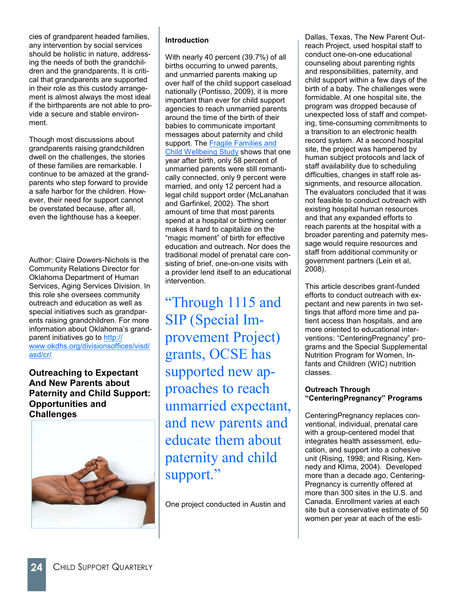cies of grandparent headed families, any intervention by social services should be holistic in nature, addressing the needs of both the grandchildren and the grandparents. It is critical that grandparents are supported in their role as this custody arrangement is almost always the most ideal if the birthparents are not able to provide a secure and stable environment.

Though most discussions about grandparents raising grandchildren dwell on the challenges, the stories of these families are remarkable. I continue to be amazed at the grandparents who step forward to provide a safe harbor for the children. However, their need for support cannot be overstated because, after all, even the lighthouse has a keeper.

Author: Claire Dowers-Nichols is the Community Relations Director for Oklahoma Department of Human Services, Aging Services Division. In this role she oversees community outreach and education as well as special initiatives such as grandparents raising grandchildren. For more information about Oklahoma's grandparent initiatives go to [http://](http://www.okdhs.org/divisionsoffices/visd/asd/cr/) [www.okdhs.org/divisionsoffices/visd/](http://www.okdhs.org/divisionsoffices/visd/asd/cr/) [asd/cr/](http://www.okdhs.org/divisionsoffices/visd/asd/cr/)

**Outreaching to Expectant And New Parents about Paternity and Child Support: Opportunities and Challenges**



# **Introduction**

With nearly 40 percent (39.7%) of all births occurring to unwed parents, and unmarried parents making up over half of the child support caseload nationally (Pontisso, 2009), it is more important than ever for child support agencies to reach unmarried parents around the time of the birth of their babies to communicate important messages about paternity and child support. The **Fragile Families and** [Child Wellbeing Study](http://www.fragilefamilies.princeton.edu/) shows that one year after birth, only 58 percent of unmarried parents were still romantically connected, only 9 percent were married, and only 12 percent had a legal child support order (McLanahan and Garfinkel, 2002). The short amount of time that most parents spend at a hospital or birthing center makes it hard to capitalize on the "magic moment" of birth for effective education and outreach. Nor does the traditional model of prenatal care consisting of brief, one-on-one visits with a provider lend itself to an educational intervention.

"Through 1115 and SIP (Special Improvement Project) grants, OCSE has supported new approaches to reach unmarried expectant, and new parents and educate them about paternity and child support."

One project conducted in Austin and

Dallas, Texas, The New Parent Outreach Project, used hospital staff to conduct one-on-one educational counseling about parenting rights and responsibilities, paternity, and child support within a few days of the birth of a baby. The challenges were formidable. At one hospital site, the program was dropped because of unexpected loss of staff and competing, time-consuming commitments to a transition to an electronic health record system. At a second hospital site, the project was hampered by human subject protocols and lack of staff availability due to scheduling difficulties, changes in staff role assignments, and resource allocation. The evaluators concluded that it was not feasible to conduct outreach with existing hospital human resources and that any expanded efforts to reach parents at the hospital with a broader parenting and paternity message would require resources and staff from additional community or government partners (Lein et al, 2008).

This article describes grant-funded efforts to conduct outreach with expectant and new parents in two settings that afford more time and patient access than hospitals, and are more oriented to educational interventions: "CenteringPregnancy" programs and the Special Supplemental Nutrition Program for Women, Infants and Children (WIC) nutrition classes.

### **Outreach Through "CenteringPregnancy" Programs**

CenteringPregnancy replaces conventional, individual, prenatal care with a group-centered model that integrates health assessment, education, and support into a cohesive unit (Rising, 1998; and Rising, Kennedy and Klima, 2004). Developed more than a decade ago, Centering-Pregnancy is currently offered at more than 300 sites in the U.S. and Canada. Enrollment varies at each site but a conservative estimate of 50 women per year at each of the esti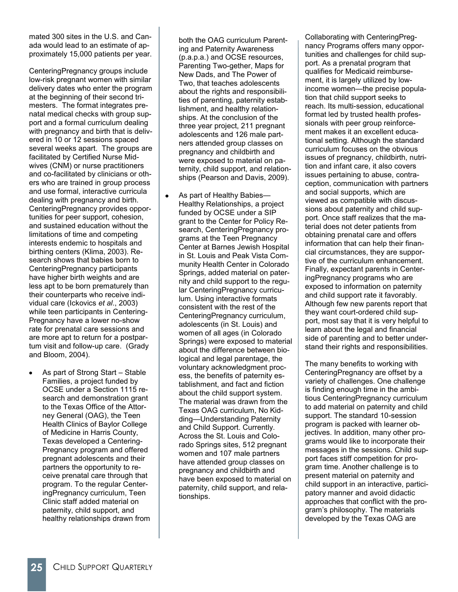mated 300 sites in the U.S. and Canada would lead to an estimate of approximately 15,000 patients per year.

CenteringPregnancy groups include low-risk pregnant women with similar delivery dates who enter the program at the beginning of their second trimesters. The format integrates prenatal medical checks with group support and a formal curriculum dealing with pregnancy and birth that is delivered in 10 or 12 sessions spaced several weeks apart. The groups are facilitated by Certified Nurse Midwives (CNM) or nurse practitioners and co-facilitated by clinicians or others who are trained in group process and use formal, interactive curricula dealing with pregnancy and birth. CenteringPregnancy provides opportunities for peer support, cohesion, and sustained education without the limitations of time and competing interests endemic to hospitals and birthing centers (Klima, 2003). Research shows that babies born to CenteringPregnancy participants have higher birth weights and are less apt to be born prematurely than their counterparts who receive individual care (Ickovics *et al*., 2003) while teen participants in Centering-Pregnancy have a lower no-show rate for prenatal care sessions and are more apt to return for a postpartum visit and follow-up care. (Grady and Bloom, 2004).

As part of Strong Start – Stable Families, a project funded by OCSE under a Section 1115 research and demonstration grant to the Texas Office of the Attorney General (OAG), the Teen Health Clinics of Baylor College of Medicine in Harris County, Texas developed a Centering-Pregnancy program and offered pregnant adolescents and their partners the opportunity to receive prenatal care through that program. To the regular CenteringPregnancy curriculum, Teen Clinic staff added material on paternity, child support, and healthy relationships drawn from both the OAG curriculum Parenting and Paternity Awareness (p.a.p.a.) and OCSE resources, Parenting Two-gether, Maps for New Dads, and The Power of Two, that teaches adolescents about the rights and responsibilities of parenting, paternity establishment, and healthy relationships. At the conclusion of the three year project, 211 pregnant adolescents and 126 male partners attended group classes on pregnancy and childbirth and were exposed to material on paternity, child support, and relationships (Pearson and Davis, 2009).

As part of Healthy Babies— Healthy Relationships, a project funded by OCSE under a SIP grant to the Center for Policy Research, CenteringPregnancy programs at the Teen Pregnancy Center at Barnes Jewish Hospital in St. Louis and Peak Vista Community Health Center in Colorado Springs, added material on paternity and child support to the regular CenteringPregnancy curriculum. Using interactive formats consistent with the rest of the CenteringPregnancy curriculum, adolescents (in St. Louis) and women of all ages (in Colorado Springs) were exposed to material about the difference between biological and legal parentage, the voluntary acknowledgment process, the benefits of paternity establishment, and fact and fiction about the child support system. The material was drawn from the Texas OAG curriculum, No Kidding—Understanding Paternity and Child Support. Currently. Across the St. Louis and Colorado Springs sites, 512 pregnant women and 107 male partners have attended group classes on pregnancy and childbirth and have been exposed to material on paternity, child support, and relationships.

Collaborating with CenteringPregnancy Programs offers many opportunities and challenges for child support. As a prenatal program that qualifies for Medicaid reimbursement, it is largely utilized by lowincome women—the precise population that child support seeks to reach. Its multi-session, educational format led by trusted health professionals with peer group reinforcement makes it an excellent educational setting. Although the standard curriculum focuses on the obvious issues of pregnancy, childbirth, nutrition and infant care, it also covers issues pertaining to abuse, contraception, communication with partners and social supports, which are viewed as compatible with discussions about paternity and child support. Once staff realizes that the material does not deter patients from obtaining prenatal care and offers information that can help their financial circumstances, they are supportive of the curriculum enhancement. Finally, expectant parents in CenteringPregnancy programs who are exposed to information on paternity and child support rate it favorably. Although few new parents report that they want court-ordered child support, most say that it is very helpful to learn about the legal and financial side of parenting and to better understand their rights and responsibilities.

The many benefits to working with CenteringPregnancy are offset by a variety of challenges. One challenge is finding enough time in the ambitious CenteringPregnancy curriculum to add material on paternity and child support. The standard 10-session program is packed with learner objectives. In addition, many other programs would like to incorporate their messages in the sessions. Child support faces stiff competition for program time. Another challenge is to present material on paternity and child support in an interactive, participatory manner and avoid didactic approaches that conflict with the program's philosophy. The materials developed by the Texas OAG are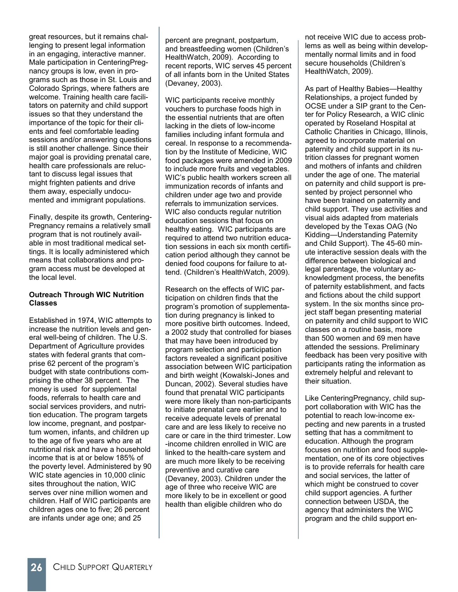great resources, but it remains challenging to present legal information in an engaging, interactive manner. Male participation in CenteringPregnancy groups is low, even in programs such as those in St. Louis and Colorado Springs, where fathers are welcome. Training health care facilitators on paternity and child support issues so that they understand the importance of the topic for their clients and feel comfortable leading sessions and/or answering questions is still another challenge. Since their major goal is providing prenatal care, health care professionals are reluctant to discuss legal issues that might frighten patients and drive them away, especially undocumented and immigrant populations.

Finally, despite its growth, Centering-Pregnancy remains a relatively small program that is not routinely available in most traditional medical settings. It is locally administered which means that collaborations and program access must be developed at the local level.

### **Outreach Through WIC Nutrition Classes**

Established in 1974, WIC attempts to increase the nutrition levels and general well-being of children. The U.S. Department of Agriculture provides states with federal grants that comprise 62 percent of the program's budget with state contributions comprising the other 38 percent. The money is used for supplemental foods, referrals to health care and social services providers, and nutrition education. The program targets low income, pregnant, and postpartum women, infants, and children up to the age of five years who are at nutritional risk and have a household income that is at or below 185% of the poverty level. Administered by 90 WIC state agencies in 10,000 clinic sites throughout the nation, WIC serves over nine million women and children. Half of WIC participants are children ages one to five; 26 percent are infants under age one; and 25

percent are pregnant, postpartum, and breastfeeding women (Children's HealthWatch, 2009). According to recent reports, WIC serves 45 percent of all infants born in the United States (Devaney, 2003).

WIC participants receive monthly vouchers to purchase foods high in the essential nutrients that are often lacking in the diets of low-income families including infant formula and cereal. In response to a recommendation by the Institute of Medicine, WIC food packages were amended in 2009 to include more fruits and vegetables. WIC's public health workers screen all immunization records of infants and children under age two and provide referrals to immunization services. WIC also conducts regular nutrition education sessions that focus on healthy eating. WIC participants are required to attend two nutrition education sessions in each six month certification period although they cannot be denied food coupons for failure to attend. (Children's HealthWatch, 2009).

Research on the effects of WIC participation on children finds that the program's promotion of supplementation during pregnancy is linked to more positive birth outcomes. Indeed, a 2002 study that controlled for biases that may have been introduced by program selection and participation factors revealed a significant positive association between WIC participation and birth weight (Kowalski-Jones and Duncan, 2002). Several studies have found that prenatal WIC participants were more likely than non-participants to initiate prenatal care earlier and to receive adequate levels of prenatal care and are less likely to receive no care or care in the third trimester. Low -income children enrolled in WIC are linked to the health-care system and are much more likely to be receiving preventive and curative care (Devaney, 2003). Children under the age of three who receive WIC are more likely to be in excellent or good health than eligible children who do

not receive WIC due to access problems as well as being within developmentally normal limits and in food secure households (Children's HealthWatch, 2009).

As part of Healthy Babies—Healthy Relationships, a project funded by OCSE under a SIP grant to the Center for Policy Research, a WIC clinic operated by Roseland Hospital at Catholic Charities in Chicago, Illinois, agreed to incorporate material on paternity and child support in its nutrition classes for pregnant women and mothers of infants and children under the age of one. The material on paternity and child support is presented by project personnel who have been trained on paternity and child support. They use activities and visual aids adapted from materials developed by the Texas OAG (No Kidding—Understanding Paternity and Child Support). The 45-60 minute interactive session deals with the difference between biological and legal parentage, the voluntary acknowledgment process, the benefits of paternity establishment, and facts and fictions about the child support system. In the six months since project staff began presenting material on paternity and child support to WIC classes on a routine basis, more than 500 women and 69 men have attended the sessions. Preliminary feedback has been very positive with participants rating the information as extremely helpful and relevant to their situation.

Like CenteringPregnancy, child support collaboration with WIC has the potential to reach low-income expecting and new parents in a trusted setting that has a commitment to education. Although the program focuses on nutrition and food supplementation, one of its core objectives is to provide referrals for health care and social services, the latter of which might be construed to cover child support agencies. A further connection between USDA, the agency that administers the WIC program and the child support en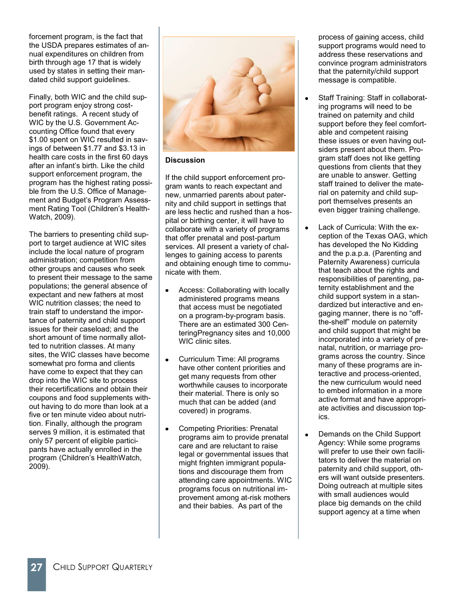forcement program, is the fact that the USDA prepares estimates of annual expenditures on children from birth through age 17 that is widely used by states in setting their mandated child support guidelines.

Finally, both WIC and the child support program enjoy strong costbenefit ratings. A recent study of WIC by the U.S. Government Accounting Office found that every \$1.00 spent on WIC resulted in savings of between \$1.77 and \$3.13 in health care costs in the first 60 days after an infant's birth. Like the child support enforcement program, the program has the highest rating possible from the U.S. Office of Management and Budget's Program Assessment Rating Tool (Children's Health-Watch, 2009).

The barriers to presenting child support to target audience at WIC sites include the local nature of program administration; competition from other groups and causes who seek to present their message to the same populations; the general absence of expectant and new fathers at most WIC nutrition classes; the need to train staff to understand the importance of paternity and child support issues for their caseload; and the short amount of time normally allotted to nutrition classes. At many sites, the WIC classes have become somewhat pro forma and clients have come to expect that they can drop into the WIC site to process their recertifications and obtain their coupons and food supplements without having to do more than look at a five or ten minute video about nutrition. Finally, although the program serves 9 million, it is estimated that only 57 percent of eligible participants have actually enrolled in the program (Children's HealthWatch, 2009).



**Discussion**

If the child support enforcement program wants to reach expectant and new, unmarried parents about paternity and child support in settings that are less hectic and rushed than a hospital or birthing center, it will have to collaborate with a variety of programs that offer prenatal and post-partum services. All present a variety of challenges to gaining access to parents and obtaining enough time to communicate with them.

- Access: Collaborating with locally administered programs means that access must be negotiated on a program-by-program basis. There are an estimated 300 CenteringPregnancy sites and 10,000 WIC clinic sites.
- Curriculum Time: All programs  $\bullet$ have other content priorities and get many requests from other worthwhile causes to incorporate their material. There is only so much that can be added (and covered) in programs.
- Competing Priorities: Prenatal programs aim to provide prenatal care and are reluctant to raise legal or governmental issues that might frighten immigrant populations and discourage them from attending care appointments. WIC programs focus on nutritional improvement among at-risk mothers and their babies. As part of the

process of gaining access, child support programs would need to address these reservations and convince program administrators that the paternity/child support message is compatible.

- Staff Training: Staff in collaborating programs will need to be trained on paternity and child support before they feel comfortable and competent raising these issues or even having outsiders present about them. Program staff does not like getting questions from clients that they are unable to answer. Getting staff trained to deliver the material on paternity and child support themselves presents an even bigger training challenge.
- Lack of Curricula: With the exception of the Texas OAG, which has developed the No Kidding and the p.a.p.a. (Parenting and Paternity Awareness) curricula that teach about the rights and responsibilities of parenting, paternity establishment and the child support system in a standardized but interactive and engaging manner, there is no "offthe-shelf" module on paternity and child support that might be incorporated into a variety of prenatal, nutrition, or marriage programs across the country. Since many of these programs are interactive and process-oriented, the new curriculum would need to embed information in a more active format and have appropriate activities and discussion topics.
- Demands on the Child Support Agency: While some programs will prefer to use their own facilitators to deliver the material on paternity and child support, others will want outside presenters. Doing outreach at multiple sites with small audiences would place big demands on the child support agency at a time when